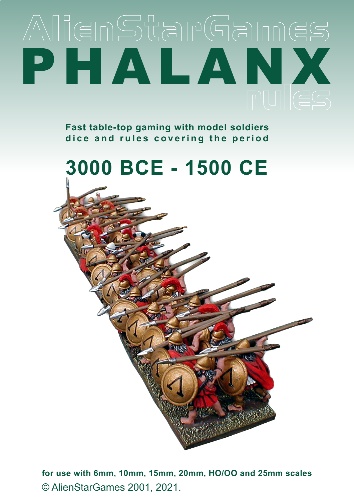# AlienStarGames PHALANX

**Fast table-top gaming with model soldiers** dice and rules covering the period



© AlienStarGames 2001, 2021. **for use with 6mm, 10mm, 15mm, 20mm, HO/OO and 25mm scales**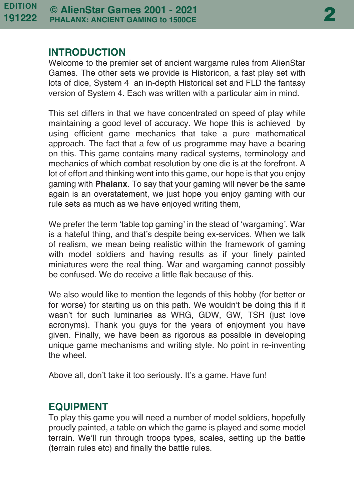#### **INTRODUCTION**

Welcome to the premier set of ancient wargame rules from AlienStar Games. The other sets we provide is Historicon, a fast play set with lots of dice, System 4 an in-depth Historical set and FLD the fantasy version of System 4. Each was written with a particular aim in mind.

This set differs in that we have concentrated on speed of play while maintaining a good level of accuracy. We hope this is achieved by using efficient game mechanics that take a pure mathematical approach. The fact that a few of us programme may have a bearing on this. This game contains many radical systems, terminology and mechanics of which combat resolution by one die is at the forefront. A lot of effort and thinking went into this game, our hope is that you enjoy gaming with **Phalanx**. To say that your gaming will never be the same again is an overstatement, we just hope you enjoy gaming with our rule sets as much as we have enjoyed writing them,

We prefer the term 'table top gaming' in the stead of 'wargaming'. War is a hateful thing, and that's despite being ex-services. When we talk of realism, we mean being realistic within the framework of gaming with model soldiers and having results as if your finely painted miniatures were the real thing. War and wargaming cannot possibly be confused. We do receive a little flak because of this.

We also would like to mention the legends of this hobby (for better or for worse) for starting us on this path. We wouldn't be doing this if it wasn't for such luminaries as WRG, GDW, GW, TSR (just love acronyms). Thank you guys for the years of enjoyment you have given. Finally, we have been as rigorous as possible in developing unique game mechanisms and writing style. No point in re-inventing the wheel.

Above all, don't take it too seriously. It's a game. Have fun!

# **EQUIPMENT**

To play this game you will need a number of model soldiers, hopefully proudly painted, a table on which the game is played and some model terrain. We'll run through troops types, scales, setting up the battle (terrain rules etc) and finally the battle rules.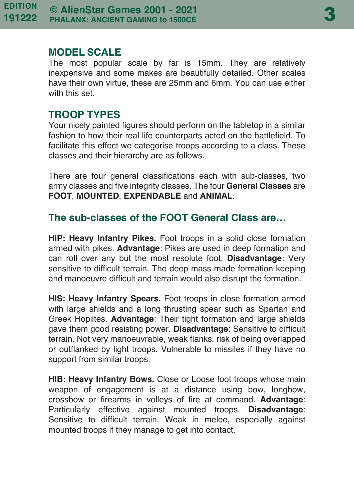#### **MODEL SCALE**

The most popular scale by far is 15mm. They are relatively inexpensive and some makes are beautifully detailed. Other scales have their own virtue, these are 25mm and 6mm. You can use either with this set.

# **TROOP TYPES**

Your nicely painted figures should perform on the tabletop in a similar fashion to how their real life counterparts acted on the battlefield. To facilitate this effect we categorise troops according to a class. These classes and their hierarchy are as follows.

There are four general classifications each with sub-classes, two army classes and five integrity classes. The four **General Classes** are **FOOT**, **MOUNTED**, **EXPENDABLE** and **ANIMAL**.

# **The sub-classes of the FOOT General Class are…**

**HIP: Heavy Infantry Pikes.** Foot troops in a solid close formation armed with pikes. **Advantage**: Pikes are used in deep formation and can roll over any but the most resolute foot. **Disadvantage**: Very sensitive to difficult terrain. The deep mass made formation keeping and manoeuvre difficult and terrain would also disrupt the formation.

**HIS: Heavy Infantry Spears.** Foot troops in close formation armed with large shields and a long thrusting spear such as Spartan and Greek Hoplites. **Advantage**: Their tight formation and large shields gave them good resisting power. **Disadvantage**: Sensitive to difficult terrain. Not very manoeuvrable, weak flanks, risk of being overlapped or outflanked by light troops. Vulnerable to missiles if they have no support from similar troops.

**HIB: Heavy Infantry Bows.** Close or Loose foot troops whose main weapon of engagement is at a distance using bow, longbow, crossbow or firearms in volleys of fire at command. **Advantage**: Particularly effective against mounted troops. **Disadvantage**: Sensitive to difficult terrain. Weak in melee, especially against mounted troops if they manage to get into contact.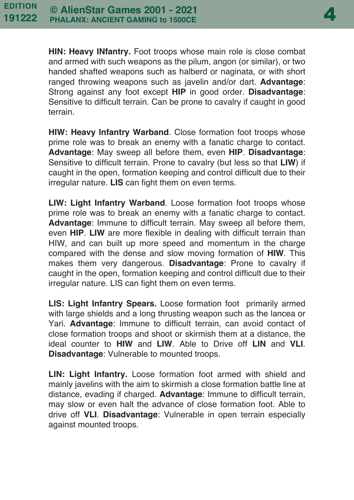4

**HIN: Heavy INfantry.** Foot troops whose main role is close combat and armed with such weapons as the pilum, angon (or similar), or two handed shafted weapons such as halberd or naginata, or with short ranged throwing weapons such as javelin and/or dart. **Advantage**: Strong against any foot except **HIP** in good order. **Disadvantage**: Sensitive to difficult terrain. Can be prone to cavalry if caught in good terrain.

**HIW: Heavy Infantry Warband**. Close formation foot troops whose prime role was to break an enemy with a fanatic charge to contact. **Advantage**: May sweep all before them, even **HIP**. **Disadvantage**: Sensitive to difficult terrain. Prone to cavalry (but less so that **LIW**) if caught in the open, formation keeping and control difficult due to their irregular nature. **LIS** can fight them on even terms.

**LIW: Light Infantry Warband**. Loose formation foot troops whose prime role was to break an enemy with a fanatic charge to contact. **Advantage**: Immune to difficult terrain. May sweep all before them, even **HIP**. **LIW** are more flexible in dealing with difficult terrain than HIW, and can built up more speed and momentum in the charge compared with the dense and slow moving formation of **HIW**. This makes them very dangerous. **Disadvantage**: Prone to cavalry if caught in the open, formation keeping and control difficult due to their irregular nature. LIS can fight them on even terms.

**LIS: Light Infantry Spears.** Loose formation foot primarily armed with large shields and a long thrusting weapon such as the lancea or Yari. **Advantage**: Immune to difficult terrain, can avoid contact of close formation troops and shoot or skirmish them at a distance, the ideal counter to **HIW** and **LIW**. Able to Drive off **LIN** and **VLI**. **Disadvantage**: Vulnerable to mounted troops.

**LIN: Light Infantry.** Loose formation foot armed with shield and mainly javelins with the aim to skirmish a close formation battle line at distance, evading if charged. **Advantage**: Immune to difficult terrain, may slow or even halt the advance of close formation foot. Able to drive off **VLI**. **Disadvantage**: Vulnerable in open terrain especially against mounted troops.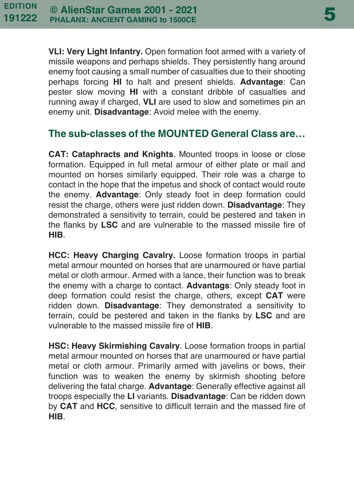**VLI: Very Light Infantry.** Open formation foot armed with a variety of missile weapons and perhaps shields. They persistently hang around enemy foot causing a small number of casualties due to their shooting perhaps forcing **HI** to halt and present shields. **Advantage**: Can pester slow moving **HI** with a constant dribble of casualties and running away if charged, **VLI** are used to slow and sometimes pin an enemy unit. **Disadvantage**: Avoid melee with the enemy.

# **The sub-classes of the MOUNTED General Class are…**

**CAT: Cataphracts and Knights**. Mounted troops in loose or close formation. Equipped in full metal armour of either plate or mail and mounted on horses similarly equipped. Their role was a charge to contact in the hope that the impetus and shock of contact would route the enemy. **Advantage**: Only steady foot in deep formation could resist the charge, others were just ridden down. **Disadvantage**: They demonstrated a sensitivity to terrain, could be pestered and taken in the flanks by **LSC** and are vulnerable to the massed missile fire of **HIB**.

**HCC: Heavy Charging Cavalry.** Loose formation troops in partial metal armour mounted on horses that are unarmoured or have partial metal or cloth armour. Armed with a lance, their function was to break the enemy with a charge to contact. **Advantags**: Only steady foot in deep formation could resist the charge, others, except **CAT** were ridden down. **Disadvantage**: They demonstrated a sensitivity to terrain, could be pestered and taken in the flanks by **LSC** and are vulnerable to the massed missile fire of **HIB**.

**HSC: Heavy Skirmishing Cavalry**. Loose formation troops in partial metal armour mounted on horses that are unarmoured or have partial metal or cloth armour. Primarily armed with javelins or bows, their function was to weaken the enemy by skirmish shooting before delivering the fatal charge. **Advantage**: Generally effective against all troops especially the **LI** variants. **Disadvantage**: Can be ridden down by **CAT** and **HCC**, sensitive to difficult terrain and the massed fire of **HIB**.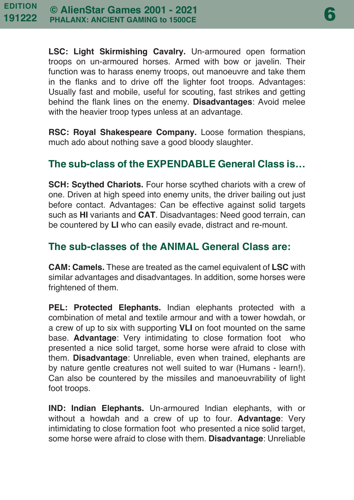**LSC: Light Skirmishing Cavalry.** Un-armoured open formation troops on un-armoured horses. Armed with bow or javelin. Their function was to harass enemy troops, out manoeuvre and take them in the flanks and to drive off the lighter foot troops. Advantages: Usually fast and mobile, useful for scouting, fast strikes and getting behind the flank lines on the enemy. **Disadvantages**: Avoid melee with the heavier troop types unless at an advantage.

**RSC: Royal Shakespeare Company.** Loose formation thespians, much ado about nothing save a good bloody slaughter.

# **The sub-class of the EXPENDABLE General Class is…**

**SCH: Scythed Chariots.** Four horse scythed chariots with a crew of one. Driven at high speed into enemy units, the driver bailing out just before contact. Advantages: Can be effective against solid targets such as **HI** variants and **CAT**. Disadvantages: Need good terrain, can be countered by **LI** who can easily evade, distract and re-mount.

# **The sub-classes of the ANIMAL General Class are:**

**CAM: Camels.** These are treated as the camel equivalent of **LSC** with similar advantages and disadvantages. In addition, some horses were frightened of them.

**PEL: Protected Elephants.** Indian elephants protected with a combination of metal and textile armour and with a tower howdah, or a crew of up to six with supporting **VLI** on foot mounted on the same base. **Advantage**: Very intimidating to close formation foot who presented a nice solid target, some horse were afraid to close with them. **Disadvantage**: Unreliable, even when trained, elephants are by nature gentle creatures not well suited to war (Humans - learn!). Can also be countered by the missiles and manoeuvrability of light foot troops.

**IND: Indian Elephants.** Un-armoured Indian elephants, with or without a howdah and a crew of up to four. **Advantage**: Very intimidating to close formation foot who presented a nice solid target, some horse were afraid to close with them. **Disadvantage**: Unreliable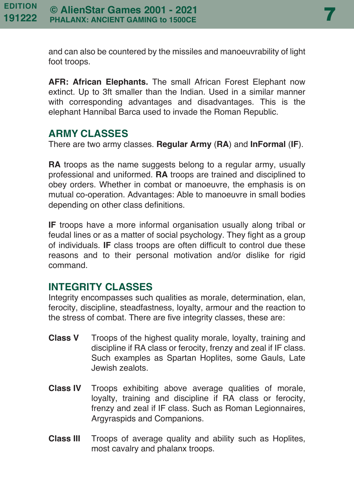and can also be countered by the missiles and manoeuvrability of light foot troops.

**AFR: African Elephants.** The small African Forest Elephant now extinct. Up to 3ft smaller than the Indian. Used in a similar manner with corresponding advantages and disadvantages. This is the elephant Hannibal Barca used to invade the Roman Republic.

#### **ARMY CLASSES**

There are two army classes. **Regular Army** (**RA**) and **InFormal** (**IF**).

**RA** troops as the name suggests belong to a regular army, usually professional and uniformed. **RA** troops are trained and disciplined to obey orders. Whether in combat or manoeuvre, the emphasis is on mutual co-operation. Advantages: Able to manoeuvre in small bodies depending on other class definitions.

**IF** troops have a more informal organisation usually along tribal or feudal lines or as a matter of social psychology. They fight as a group of individuals. **IF** class troops are often difficult to control due these reasons and to their personal motivation and/or dislike for rigid command.

# **INTEGRITY CLASSES**

Integrity encompasses such qualities as morale, determination, elan, ferocity, discipline, steadfastness, loyalty, armour and the reaction to the stress of combat. There are five integrity classes, these are:

- **Class V** Troops of the highest quality morale, loyalty, training and discipline if RA class or ferocity, frenzy and zeal if IF class. Such examples as Spartan Hoplites, some Gauls, Late Jewish zealots.
- **Class IV** Troops exhibiting above average qualities of morale, loyalty, training and discipline if RA class or ferocity, frenzy and zeal if IF class. Such as Roman Legionnaires, Argyraspids and Companions.
- **Class III** Troops of average quality and ability such as Hoplites, most cavalry and phalanx troops.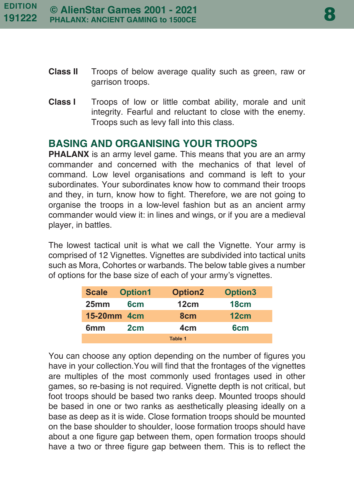- **Class II** Troops of below average quality such as green, raw or garrison troops.
- **Class I** Troops of low or little combat ability, morale and unit integrity. Fearful and reluctant to close with the enemy. Troops such as levy fall into this class.

# **BASING AND ORGANISING YOUR TROOPS**

**PHALANX** is an army level game. This means that you are an army commander and concerned with the mechanics of that level of command. Low level organisations and command is left to your subordinates. Your subordinates know how to command their troops and they, in turn, know how to fight. Therefore, we are not going to organise the troops in a low-level fashion but as an ancient army commander would view it: in lines and wings, or if you are a medieval player, in battles.

The lowest tactical unit is what we call the Vignette. Your army is comprised of 12 Vignettes. Vignettes are subdivided into tactical units such as Mora, Cohortes or warbands. The below table gives a number of options for the base size of each of your army's vignettes.

| <b>Scale</b>     | Option1         | <b>Option2</b>  | <b>Option3</b>  |
|------------------|-----------------|-----------------|-----------------|
| 25 <sub>mm</sub> | 6 <sub>cm</sub> | 12cm            | 18cm            |
| 15-20mm 4cm      |                 | 8 <sub>cm</sub> | 12cm            |
| 6mm              | 2cm             | 4cm             | 6 <sub>cm</sub> |
|                  |                 | Table 1         |                 |

You can choose any option depending on the number of figures you have in your collection.You will find that the frontages of the vignettes are multiples of the most commonly used frontages used in other games, so re-basing is not required. Vignette depth is not critical, but foot troops should be based two ranks deep. Mounted troops should be based in one or two ranks as aesthetically pleasing ideally on a base as deep as it is wide. Close formation troops should be mounted on the base shoulder to shoulder, loose formation troops should have about a one figure gap between them, open formation troops should have a two or three figure gap between them. This is to reflect the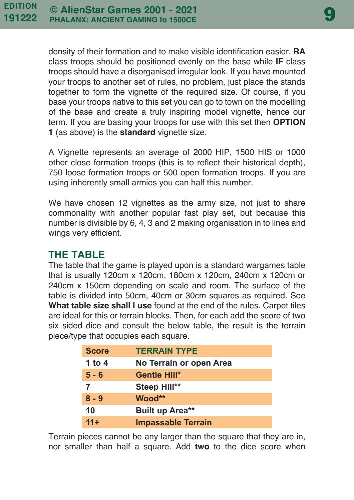density of their formation and to make visible identification easier. **RA** class troops should be positioned evenly on the base while **IF** class troops should have a disorganised irregular look. If you have mounted your troops to another set of rules, no problem, just place the stands together to form the vignette of the required size. Of course, if you base your troops native to this set you can go to town on the modelling of the base and create a truly inspiring model vignette, hence our term. If you are basing your troops for use with this set then **OPTION 1** (as above) is the **standard** vignette size.

A Vignette represents an average of 2000 HIP, 1500 HIS or 1000 other close formation troops (this is to reflect their historical depth), 750 loose formation troops or 500 open formation troops. If you are using inherently small armies you can half this number.

We have chosen 12 vignettes as the army size, not just to share commonality with another popular fast play set, but because this number is divisible by 6, 4, 3 and 2 making organisation in to lines and wings very efficient.

# **THE TABLE**

The table that the game is played upon is a standard wargames table that is usually 120cm x 120cm, 180cm x 120cm, 240cm x 120cm or 240cm x 150cm depending on scale and room. The surface of the table is divided into 50cm, 40cm or 30cm squares as required. See **What table size shall I use** found at the end of the rules. Carpet tiles are ideal for this or terrain blocks. Then, for each add the score of two six sided dice and consult the below table, the result is the terrain piece/type that occupies each square.

| <b>Score</b> | <b>TERRAIN TYPE</b>       |
|--------------|---------------------------|
| 1 to 4       | No Terrain or open Area   |
| $5 - 6$      | <b>Gentle Hill*</b>       |
| 7            | Steep Hill**              |
| $8 - 9$      | Wood**                    |
| 10           | Built up Area**           |
| $11 +$       | <b>Impassable Terrain</b> |

Terrain pieces cannot be any larger than the square that they are in, nor smaller than half a square. Add **two** to the dice score when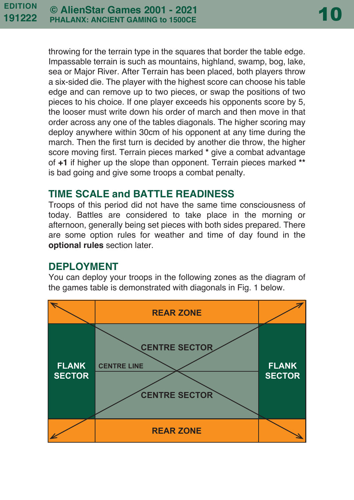throwing for the terrain type in the squares that border the table edge. Impassable terrain is such as mountains, highland, swamp, bog, lake, sea or Major River. After Terrain has been placed, both players throw a six-sided die. The player with the highest score can choose his table edge and can remove up to two pieces, or swap the positions of two pieces to his choice. If one player exceeds his opponents score by 5, the looser must write down his order of march and then move in that order across any one of the tables diagonals. The higher scoring may deploy anywhere within 30cm of his opponent at any time during the march. Then the first turn is decided by another die throw, the higher score moving first. Terrain pieces marked **\*** give a combat advantage of **+1** if higher up the slope than opponent. Terrain pieces marked **\*\*** is bad going and give some troops a combat penalty.

# **TIME SCALE and BATTLE READINESS**

Troops of this period did not have the same time consciousness of today. Battles are considered to take place in the morning or afternoon, generally being set pieces with both sides prepared. There are some option rules for weather and time of day found in the **optional rules** section later.

# **DEPLOYMENT**

You can deploy your troops in the following zones as the diagram of the games table is demonstrated with diagonals in Fig. 1 below.

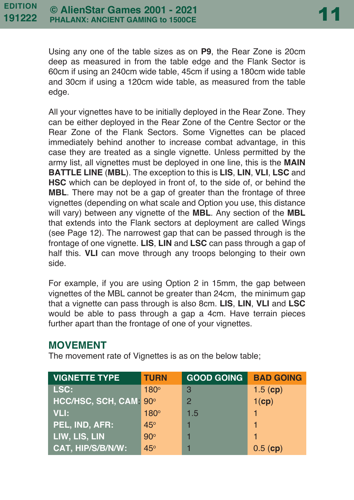Using any one of the table sizes as on **P9**, the Rear Zone is 20cm deep as measured in from the table edge and the Flank Sector is 60cm if using an 240cm wide table, 45cm if using a 180cm wide table and 30cm if using a 120cm wide table, as measured from the table edge.

All your vignettes have to be initially deployed in the Rear Zone. They can be either deployed in the Rear Zone of the Centre Sector or the Rear Zone of the Flank Sectors. Some Vignettes can be placed immediately behind another to increase combat advantage, in this case they are treated as a single vignette. Unless permitted by the army list, all vignettes must be deployed in one line, this is the **MAIN BATTLE LINE** (**MBL**). The exception to this is **LIS**, **LIN**, **VLI**, **LSC** and **HSC** which can be deployed in front of, to the side of, or behind the **MBL**. There may not be a gap of greater than the frontage of three vignettes (depending on what scale and Option you use, this distance will vary) between any vignette of the **MBL**. Any section of the **MBL** that extends into the Flank sectors at deployment are called Wings (see Page 12). The narrowest gap that can be passed through is the frontage of one vignette. **LIS**, **LIN** and **LSC** can pass through a gap of half this. **VLI** can move through any troops belonging to their own side.

For example, if you are using Option 2 in 15mm, the gap between vignettes of the MBL cannot be greater than 24cm, the minimum gap that a vignette can pass through is also 8cm. **LIS**, **LIN**, **VLI** and **LSC** would be able to pass through a gap a 4cm. Have terrain pieces further apart than the frontage of one of your vignettes.

#### **MOVEMENT**

The movement rate of Vignettes is as on the below table;

| <b>VIGNETTE TYPE</b>                                                       | <b>TURN</b> | <b>GOOD GOING</b> | <b>BAD GOING</b> |
|----------------------------------------------------------------------------|-------------|-------------------|------------------|
| LSC:                                                                       | $180^\circ$ | 3                 | $1.5$ (cp)       |
| HCC/HSC, SCH, CAM: 90°                                                     |             | $\mathcal{P}$     | $1$ (cp)         |
| <b>VLI:</b>                                                                | $180^\circ$ | 1.5               |                  |
| PEL, IND, AFR:                                                             | 45°         |                   | 1                |
| $\overline{\mathsf{L}^{\mathsf{I}}}$ LIW, LIS, LIN $\overline{\mathsf{L}}$ | $90^\circ$  |                   |                  |
| CAT, HIP/S/B/N/W:                                                          | $45^\circ$  |                   | 0.5(cp)          |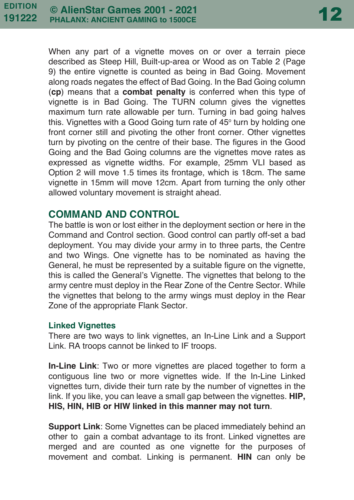When any part of a vignette moves on or over a terrain piece described as Steep Hill, Built-up-area or Wood as on Table 2 (Page 9) the entire vignette is counted as being in Bad Going. Movement along roads negates the effect of Bad Going. In the Bad Going column (**cp**) means that a **combat penalty** is conferred when this type of vignette is in Bad Going. The TURN column gives the vignettes maximum turn rate allowable per turn. Turning in bad going halves this. Vignettes with a Good Going turn rate of 45° turn by holding one front corner still and pivoting the other front corner. Other vignettes turn by pivoting on the centre of their base. The figures in the Good Going and the Bad Going columns are the vignettes move rates as expressed as vignette widths. For example, 25mm VLI based as Option 2 will move 1.5 times its frontage, which is 18cm. The same vignette in 15mm will move 12cm. Apart from turning the only other allowed voluntary movement is straight ahead.

# **COMMAND AND CONTROL**

The battle is won or lost either in the deployment section or here in the Command and Control section. Good control can partly off-set a bad deployment. You may divide your army in to three parts, the Centre and two Wings. One vignette has to be nominated as having the General, he must be represented by a suitable figure on the vignette, this is called the General's Vignette. The vignettes that belong to the army centre must deploy in the Rear Zone of the Centre Sector. While the vignettes that belong to the army wings must deploy in the Rear Zone of the appropriate Flank Sector.

#### **Linked Vignettes**

There are two ways to link vignettes, an In-Line Link and a Support Link. RA troops cannot be linked to IF troops.

**In-Line Link**: Two or more vignettes are placed together to form a contiguous line two or more vignettes wide. If the In-Line Linked vignettes turn, divide their turn rate by the number of vignettes in the link. If you like, you can leave a small gap between the vignettes. **HIP, HIS, HIN, HIB or HIW linked in this manner may not turn**.

**Support Link**: Some Vignettes can be placed immediately behind an other to gain a combat advantage to its front. Linked vignettes are merged and are counted as one vignette for the purposes of movement and combat. Linking is permanent. **HIN** can only be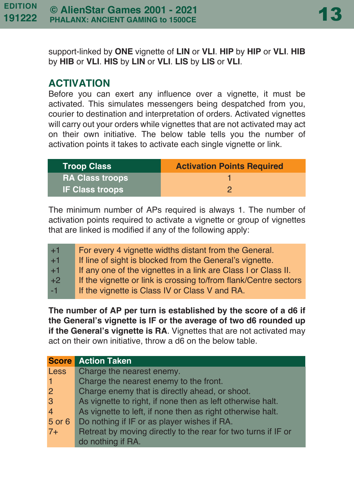support-linked by **ONE** vignette of **LIN** or **VLI**. **HIP** by **HIP** or **VLI**. **HIB** by **HIB** or **VLI**. **HIS** by **LIN** or **VLI**. **LIS** by **LIS** or **VLI**.

### **ACTIVATION**

Before you can exert any influence over a vignette, it must be activated. This simulates messengers being despatched from you, courier to destination and interpretation of orders. Activated vignettes will carry out your orders while vignettes that are not activated may act on their own initiative. The below table tells you the number of activation points it takes to activate each single vignette or link.

| <b>Troop Class</b>     | <b>Activation Points Required</b> |
|------------------------|-----------------------------------|
| <b>RA Class troops</b> |                                   |
| <b>IF Class troops</b> | ാ                                 |

The minimum number of APs required is always 1. The number of activation points required to activate a vignette or group of vignettes that are linked is modified if any of the following apply:

| $+1$ | For every 4 vignette widths distant from the General.            |
|------|------------------------------------------------------------------|
| $+1$ | If line of sight is blocked from the General's vignette.         |
| $+1$ | If any one of the vignettes in a link are Class I or Class II.   |
| $+2$ | If the vignette or link is crossing to/from flank/Centre sectors |
| $-1$ | If the vignette is Class IV or Class V and RA.                   |

**The number of AP per turn is established by the score of a d6 if the General's vignette is IF or the average of two d6 rounded up if the General's vignette is RA**. Vignettes that are not activated may act on their own initiative, throw a d6 on the below table.

| <b>Score</b>   | <b>Action Taken</b>                                           |
|----------------|---------------------------------------------------------------|
| <b>Less</b>    | Charge the nearest enemy.                                     |
|                | Charge the nearest enemy to the front.                        |
| 2              | Charge enemy that is directly ahead, or shoot.                |
| 3              | As vignette to right, if none then as left otherwise halt.    |
| $\overline{4}$ | As vignette to left, if none then as right otherwise halt.    |
| 5 or 6         | Do nothing if IF or as player wishes if RA.                   |
| $7+$           | Retreat by moving directly to the rear for two turns if IF or |
|                | do nothing if RA.                                             |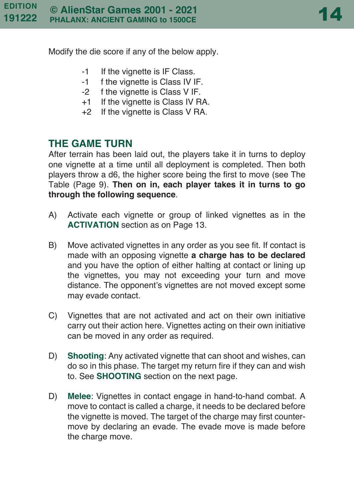Modify the die score if any of the below apply.

- -1 If the vignette is IF Class.
- -1 f the vignette is Class IV IF.
- -2 f the vignette is Class V IF.
- +1 If the vignette is Class IV RA.
- +2 If the vignette is Class V RA.

# **THE GAME TURN**

After terrain has been laid out, the players take it in turns to deploy one vignette at a time until all deployment is completed. Then both players throw a d6, the higher score being the first to move (see The Table (Page 9). **Then on in, each player takes it in turns to go through the following sequence**.

- A) Activate each vignette or group of linked vignettes as in the **ACTIVATION** section as on Page 13.
- B) Move activated vignettes in any order as you see fit. If contact is made with an opposing vignette **a charge has to be declared** and you have the option of either halting at contact or lining up the vignettes, you may not exceeding your turn and move distance. The opponent's vignettes are not moved except some may evade contact.
- C) Vignettes that are not activated and act on their own initiative carry out their action here. Vignettes acting on their own initiative can be moved in any order as required.
- D) **Shooting**: Any activated vignette that can shoot and wishes, can do so in this phase. The target my return fire if they can and wish to. See **SHOOTING** section on the next page.
- D) **Melee**: Vignettes in contact engage in hand-to-hand combat. A move to contact is called a charge, it needs to be declared before the vignette is moved. The target of the charge may first countermove by declaring an evade. The evade move is made before the charge move.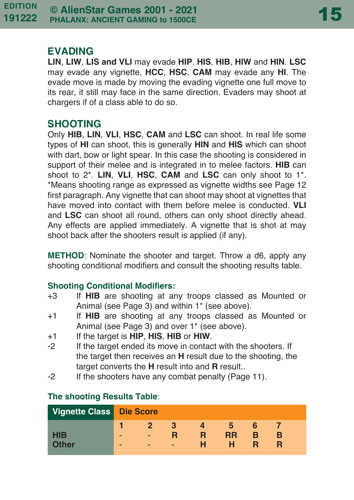# **EVADING**

**LIN**, **LIW**, **LIS and VLI** may evade **HIP**. **HIS**, **HIB**, **HIW** and **HIN**. **LSC** may evade any vignette, **HCC**, **HSC**, **CAM** may evade any **HI**. The evade move is made by moving the evading vignette one full move to its rear, it still may face in the same direction. Evaders may shoot at chargers if of a class able to do so.

# **SHOOTING**

Only **HIB**, **LIN**, **VLI**, **HSC**, **CAM** and **LSC** can shoot. In real life some types of **HI** can shoot, this is generally **HIN** and **HIS** which can shoot with dart, bow or light spear. In this case the shooting is considered in support of their melee and is integrated in to melee factors. **HIB** can shoot to 2\*. **LIN**, **VLI**, **HSC**, **CAM** and **LSC** can only shoot to 1\*. \*Means shooting range as expressed as vignette widths see Page 12 first paragraph. Any vignette that can shoot may shoot at vignettes that have moved into contact with them before melee is conducted. **VLI** and **LSC** can shoot all round, others can only shoot directly ahead. Any effects are applied immediately. A vignette that is shot at may shoot back after the shooters result is applied (if any).

**METHOD**: Nominate the shooter and target. Throw a d6, apply any shooting conditional modifiers and consult the shooting results table.

# **Shooting Conditional Modifiers:**

- +3 If **HIB** are shooting at any troops classed as Mounted or Animal (see Page 3) and within 1\* (see above).
- +1 If **HIB** are shooting at any troops classed as Mounted or Animal (see Page 3) and over 1\* (see above).
- +1 If the target is **HIP**, **HIS**, **HIB** or **HIW**.
- -2 If the target ended its move in contact with the shooters. If the target then receives an **H** result due to the shooting, the target converts the **H** result into and **R** result..
- -2 If the shooters have any combat penalty (Page 11).

| Vignette Class Die Score |        |             |   |        |                |        |  |  |
|--------------------------|--------|-------------|---|--------|----------------|--------|--|--|
| <b>HIB</b><br>Other      | -<br>- | 2<br>-<br>- | - | R<br>н | h<br><b>RR</b> | 6<br>B |  |  |

# **The shooting Results Table**: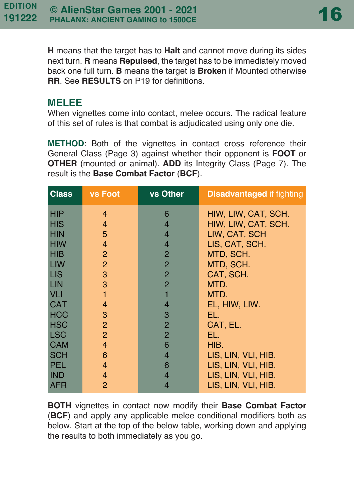**H** means that the target has to **Halt** and cannot move during its sides next turn. **R** means **Repulsed**, the target has to be immediately moved back one full turn. **B** means the target is **Broken** if Mounted otherwise **RR**. See **RESULTS** on P19 for definitions.

### **MELEE**

When vignettes come into contact, melee occurs. The radical feature of this set of rules is that combat is adjudicated using only one die.

**METHOD**: Both of the vignettes in contact cross reference their General Class (Page 3) against whether their opponent is **FOOT** or **OTHER** (mounted or animal). **ADD** its Integrity Class (Page 7). The result is the **Base Combat Factor** (**BCF**).

| <b>Class</b> | <b>vs Foot</b> | vs Other       | <b>Disadvantaged if fighting</b> |
|--------------|----------------|----------------|----------------------------------|
| <b>HIP</b>   | $\overline{4}$ | 6              | HIW, LIW, CAT, SCH.              |
| <b>HIS</b>   | $\overline{4}$ | 4              | HIW, LIW, CAT, SCH.              |
| <b>HIN</b>   | 5              | 4              | LIW, CAT, SCH                    |
| <b>HIW</b>   | $\overline{4}$ | $\overline{4}$ | LIS, CAT, SCH.                   |
| <b>HIB</b>   | $\overline{2}$ | $\overline{2}$ | MTD, SCH.                        |
| <b>LIW</b>   | $\overline{2}$ | $\overline{2}$ | MTD, SCH.                        |
| <b>LIS</b>   | 3              | $\overline{2}$ | CAT, SCH.                        |
| LIN          | 3              | $\overline{2}$ | MTD.                             |
| <b>VLI</b>   | $\mathbf{1}$   |                | MTD.                             |
| <b>CAT</b>   | $\overline{4}$ | 4              | EL, HIW, LIW.                    |
| <b>HCC</b>   | 3              | 3              | EL.                              |
| <b>HSC</b>   | $\overline{2}$ | $\overline{2}$ | CAT, EL.                         |
| <b>LSC</b>   | $\overline{2}$ | $\overline{2}$ | EL.                              |
| <b>CAM</b>   | $\overline{4}$ | 6              | HIB.                             |
| <b>SCH</b>   | 6              | 4              | LIS, LIN, VLI, HIB.              |
| <b>PEL</b>   | $\overline{4}$ | 6              | LIS, LIN, VLI, HIB.              |
| <b>IND</b>   | $\overline{4}$ | 4              | LIS, LIN, VLI, HIB.              |
| <b>AFR</b>   | 2              | 4              | LIS, LIN, VLI, HIB.              |

**BOTH** vignettes in contact now modify their **Base Combat Factor** (**BCF**) and apply any applicable melee conditional modifiers both as below. Start at the top of the below table, working down and applying the results to both immediately as you go.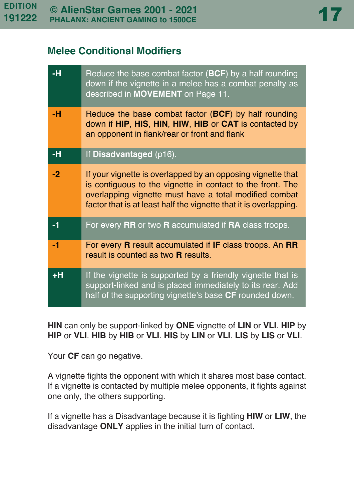# **Melee Conditional Modifiers**

| -н   | Reduce the base combat factor $(BCF)$ by a half rounding<br>down if the vignette in a melee has a combat penalty as<br>described in MOVEMENT on Page 11.                                                                                                 |
|------|----------------------------------------------------------------------------------------------------------------------------------------------------------------------------------------------------------------------------------------------------------|
| -н   | Reduce the base combat factor (BCF) by half rounding<br>down if HIP, HIS, HIN, HIW, HIB or CAT is contacted by<br>an opponent in flank/rear or front and flank                                                                                           |
| -н   | If Disadvantaged (p16).                                                                                                                                                                                                                                  |
| $-2$ | If your vignette is overlapped by an opposing vignette that<br>is contiguous to the vignette in contact to the front. The<br>overlapping vignette must have a total modified combat<br>factor that is at least half the vignette that it is overlapping. |
| -1   | For every RR or two R accumulated if RA class troops.                                                                                                                                                                                                    |
| -1   | For every <b>R</b> result accumulated if IF class troops. An RR<br>result is counted as two <b>R</b> results.                                                                                                                                            |
| +H   | If the vignette is supported by a friendly vignette that is<br>support-linked and is placed immediately to its rear. Add<br>half of the supporting vignette's base CF rounded down.                                                                      |

**HIN** can only be support-linked by **ONE** vignette of **LIN** or **VLI**. **HIP** by **HIP** or **VLI**. **HIB** by **HIB** or **VLI**. **HIS** by **LIN** or **VLI**. **LIS** by **LIS** or **VLI**.

Your **CF** can go negative.

A vignette fights the opponent with which it shares most base contact. If a vignette is contacted by multiple melee opponents, it fights against one only, the others supporting.

If a vignette has a Disadvantage because it is fighting **HIW** or **LIW**, the disadvantage **ONLY** applies in the initial turn of contact.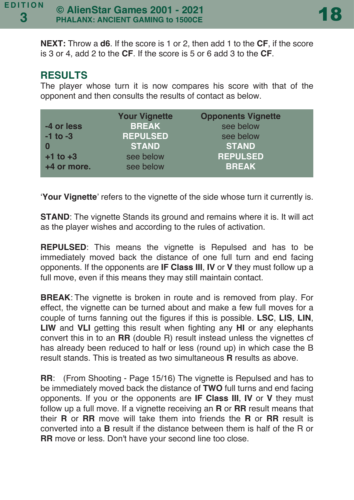**NEXT:** Throw a **d6**. If the score is 1 or 2, then add 1 to the **CF**, if the score is 3 or 4, add 2 to the **CF**. If the score is 5 or 6 add 3 to the **CF**.

# **RESULTS**

The player whose turn it is now compares his score with that of the opponent and then consults the results of contact as below.

|              | <b>Your Vignette</b> | <b>Opponents Vignette</b> |
|--------------|----------------------|---------------------------|
| -4 or less   | <b>BREAK</b>         | see below                 |
| $-1$ to $-3$ | <b>REPULSED</b>      | see below                 |
| 0            | <b>STAND</b>         | <b>STAND</b>              |
| $+1$ to $+3$ | see below            | <b>REPULSED</b>           |
| +4 or more.  | see below            | <b>BREAK</b>              |

'**Your Vignette**' refers to the vignette of the side whose turn it currently is.

**STAND**: The vignette Stands its ground and remains where it is. It will act as the player wishes and according to the rules of activation.

**REPULSED**: This means the vignette is Repulsed and has to be immediately moved back the distance of one full turn and end facing opponents. If the opponents are **IF Class III**, **IV** or **V** they must follow up a full move, even if this means they may still maintain contact.

**BREAK**: The vignette is broken in route and is removed from play. For effect, the vignette can be turned about and make a few full moves for a couple of turns fanning out the figures if this is possible. **LSC**, **LIS**, **LIN**, **LIW** and **VLI** getting this result when fighting any **HI** or any elephants convert this in to an **RR** (double R) result instead unless the vignettes cf has already been reduced to half or less (round up) in which case the B result stands. This is treated as two simultaneous **R** results as above.

**RR**: (From Shooting - Page 15/16) The vignette is Repulsed and has to be immediately moved back the distance of **TWO** full turns and end facing opponents. If you or the opponents are **IF Class III**, **IV** or **V** they must follow up a full move. If a vignette receiving an **R** or **RR** result means that their **R** or **RR** move will take them into friends the **R** or **RR** result is converted into a **B** result if the distance between them is half of the R or **RR** move or less. Don't have your second line too close.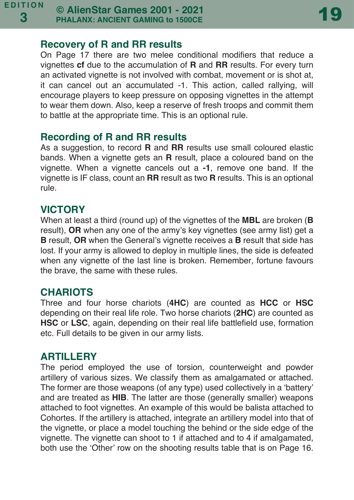# **Recovery of R and RR results**

On Page 17 there are two melee conditional modifiers that reduce a vignettes **cf** due to the accumulation of **R** and **RR** results. For every turn an activated vignette is not involved with combat, movement or is shot at, it can cancel out an accumulated -1. This action, called rallying, will encourage players to keep pressure on opposing vignettes in the attempt to wear them down. Also, keep a reserve of fresh troops and commit them to battle at the appropriate time. This is an optional rule.

#### **Recording of R and RR results**

As a suggestion, to record **R** and **RR** results use small coloured elastic bands. When a vignette gets an **R** result, place a coloured band on the vignette. When a vignette cancels out a **-1**, remove one band. If the vignette is IF class, count an **RR** result as two **R** results. This is an optional rule.

# **VICTORY**

When at least a third (round up) of the vignettes of the **MBL** are broken (**B** result). **OR** when any one of the army's key vignettes (see army list) get a **B** result, **OR** when the General's vignette receives a **B** result that side has lost. If your army is allowed to deploy in multiple lines, the side is defeated when any vignette of the last line is broken. Remember, fortune favours the brave, the same with these rules.

# **CHARIOTS**

Three and four horse chariots (**4HC**) are counted as **HCC** or **HSC** depending on their real life role. Two horse chariots (**2HC**) are counted as **HSC** or **LSC**, again, depending on their real life battlefield use, formation etc. Full details to be given in our army lists.

# **ARTILLERY**

The period employed the use of torsion, counterweight and powder artillery of various sizes. We classify them as amalgamated or attached. The former are those weapons (of any type) used collectively in a 'battery' and are treated as **HIB**. The latter are those (generally smaller) weapons attached to foot vignettes. An example of this would be balista attached to Cohortes. If the artillery is attached, integrate an artillery model into that of the vignette, or place a model touching the behind or the side edge of the vignette. The vignette can shoot to 1 if attached and to 4 if amalgamated, both use the 'Other' row on the shooting results table that is on Page 16.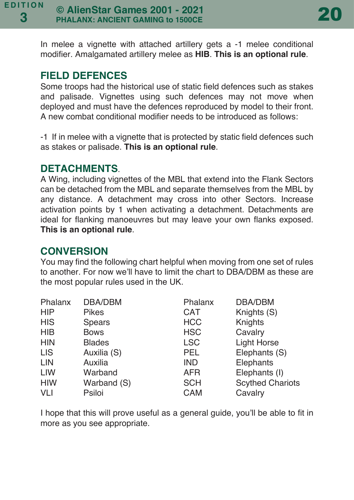

In melee a vignette with attached artillery gets a -1 melee conditional modifier. Amalgamated artillery melee as **HIB**. **This is an optional rule**.

# **FIELD DEFENCES**

Some troops had the historical use of static field defences such as stakes and palisade. Vignettes using such defences may not move when deployed and must have the defences reproduced by model to their front. A new combat conditional modifier needs to be introduced as follows:

-1 If in melee with a vignette that is protected by static field defences such as stakes or palisade. **This is an optional rule**.

# **DETACHMENTS**.

A Wing, including vignettes of the MBL that extend into the Flank Sectors can be detached from the MBL and separate themselves from the MBL by any distance. A detachment may cross into other Sectors. Increase activation points by 1 when activating a detachment. Detachments are ideal for flanking manoeuvres but may leave your own flanks exposed. **This is an optional rule**.

# **CONVERSION**

You may find the following chart helpful when moving from one set of rules to another. For now we'll have to limit the chart to DBA/DBM as these are the most popular rules used in the UK.

| Phalanx    | DBA/DBM       | Phalanx    | DBA/DBM                 |
|------------|---------------|------------|-------------------------|
| <b>HIP</b> | <b>Pikes</b>  | <b>CAT</b> | Knights (S)             |
| <b>HIS</b> | Spears        | <b>HCC</b> | Knights                 |
| <b>HIB</b> | <b>Bows</b>   | <b>HSC</b> | Cavalry                 |
| <b>HIN</b> | <b>Blades</b> | <b>LSC</b> | Light Horse             |
| LIS        | Auxilia (S)   | <b>PEL</b> | Elephants (S)           |
| LIN        | Auxilia       | <b>IND</b> | Elephants               |
| LIW        | Warband       | <b>AFR</b> | Elephants (I)           |
| <b>HIW</b> | Warband (S)   | <b>SCH</b> | <b>Scythed Chariots</b> |
| VLI        | Psiloi        | <b>CAM</b> | Cavalry                 |

I hope that this will prove useful as a general guide, you'll be able to fit in more as you see appropriate.